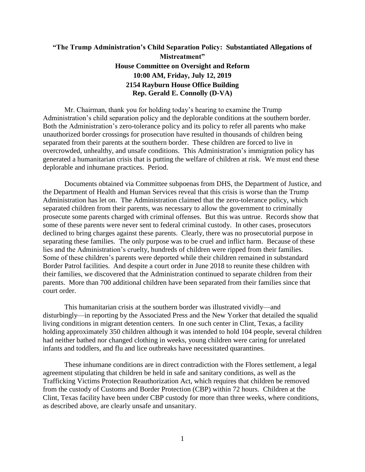## **"The Trump Administration's Child Separation Policy: Substantiated Allegations of Mistreatment" House Committee on Oversight and Reform 10:00 AM, Friday, July 12, 2019 2154 Rayburn House Office Building Rep. Gerald E. Connolly (D-VA)**

Mr. Chairman, thank you for holding today's hearing to examine the Trump Administration's child separation policy and the deplorable conditions at the southern border. Both the Administration's zero-tolerance policy and its policy to refer all parents who make unauthorized border crossings for prosecution have resulted in thousands of children being separated from their parents at the southern border. These children are forced to live in overcrowded, unhealthy, and unsafe conditions. This Administration's immigration policy has generated a humanitarian crisis that is putting the welfare of children at risk. We must end these deplorable and inhumane practices. Period.

Documents obtained via Committee subpoenas from DHS, the Department of Justice, and the Department of Health and Human Services reveal that this crisis is worse than the Trump Administration has let on. The Administration claimed that the zero-tolerance policy, which separated children from their parents, was necessary to allow the government to criminally prosecute some parents charged with criminal offenses. But this was untrue. Records show that some of these parents were never sent to federal criminal custody. In other cases, prosecutors declined to bring charges against these parents. Clearly, there was no prosecutorial purpose in separating these families. The only purpose was to be cruel and inflict harm. Because of these lies and the Administration's cruelty, hundreds of children were ripped from their families. Some of these children's parents were deported while their children remained in substandard Border Patrol facilities. And despite a court order in June 2018 to reunite these children with their families, we discovered that the Administration continued to separate children from their parents. More than 700 additional children have been separated from their families since that court order.

This humanitarian crisis at the southern border was illustrated vividly—and disturbingly—in reporting by the Associated Press and the New Yorker that detailed the squalid living conditions in migrant detention centers. In one such center in Clint, Texas, a facility holding approximately 350 children although it was intended to hold 104 people, several children had neither bathed nor changed clothing in weeks, young children were caring for unrelated infants and toddlers, and flu and lice outbreaks have necessitated quarantines.

These inhumane conditions are in direct contradiction with the Flores settlement, a legal agreement stipulating that children be held in safe and sanitary conditions, as well as the Trafficking Victims Protection Reauthorization Act, which requires that children be removed from the custody of Customs and Border Protection (CBP) within 72 hours. Children at the Clint, Texas facility have been under CBP custody for more than three weeks, where conditions, as described above, are clearly unsafe and unsanitary.